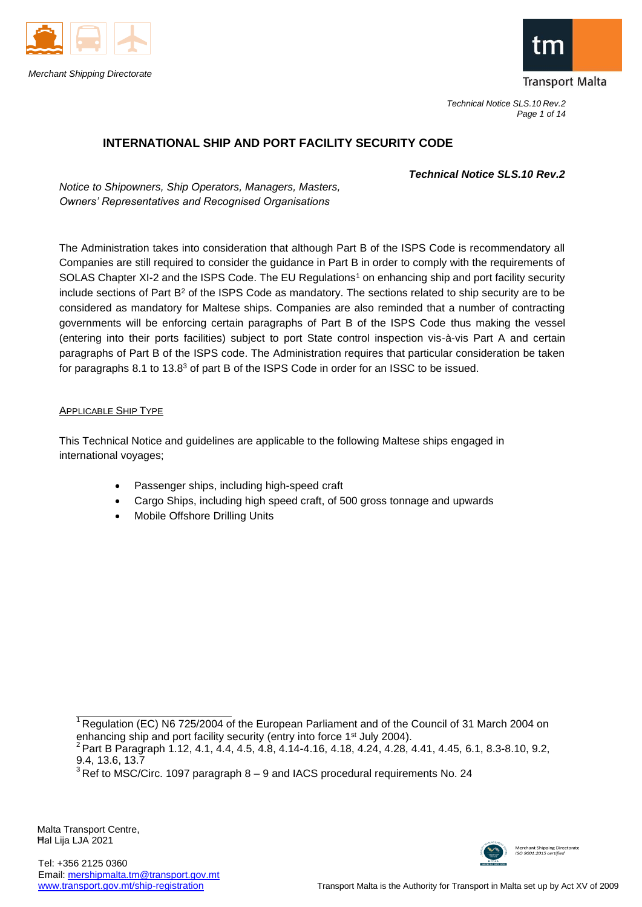



*Technical Notice SLS.10 Rev.2 Page 1 of 14*

# **INTERNATIONAL SHIP AND PORT FACILITY SECURITY CODE**

*Technical Notice SLS.10 Rev.2*

*Notice to Shipowners, Ship Operators, Managers, Masters, Owners' Representatives and Recognised Organisations*

The Administration takes into consideration that although Part B of the ISPS Code is recommendatory all Companies are still required to consider the guidance in Part B in order to comply with the requirements of SOLAS Chapter XI-2 and the ISPS Code. The EU Regulations<sup>1</sup> on enhancing ship and port facility security include sections of Part B<sup>2</sup> of the ISPS Code as mandatory. The sections related to ship security are to be considered as mandatory for Maltese ships. Companies are also reminded that a number of contracting governments will be enforcing certain paragraphs of Part B of the ISPS Code thus making the vessel (entering into their ports facilities) subject to port State control inspection vis-à-vis Part A and certain paragraphs of Part B of the ISPS code. The Administration requires that particular consideration be taken for paragraphs 8.1 to 13.8<sup>3</sup> of part B of the ISPS Code in order for an ISSC to be issued.

# APPLICABLE SHIP TYPE

This Technical Notice and guidelines are applicable to the following Maltese ships engaged in international voyages;

- Passenger ships, including high-speed craft
- Cargo Ships, including high speed craft, of 500 gross tonnage and upwards
- Mobile Offshore Drilling Units



<sup>&</sup>lt;sup>1</sup> Regulation (EC) N6 725/2004 of the European Parliament and of the Council of 31 March 2004 on enhancing ship and port facility security (entry into force 1<sup>st</sup> July 2004).

<sup>2</sup>Part B Paragraph 1.12, 4.1, 4.4, 4.5, 4.8, 4.14-4.16, 4.18, 4.24, 4.28, 4.41, 4.45, 6.1, 8.3-8.10, 9.2, 9.4, 13.6, 13.7

 $3$  Ref to MSC/Circ. 1097 paragraph 8 – 9 and IACS procedural requirements No. 24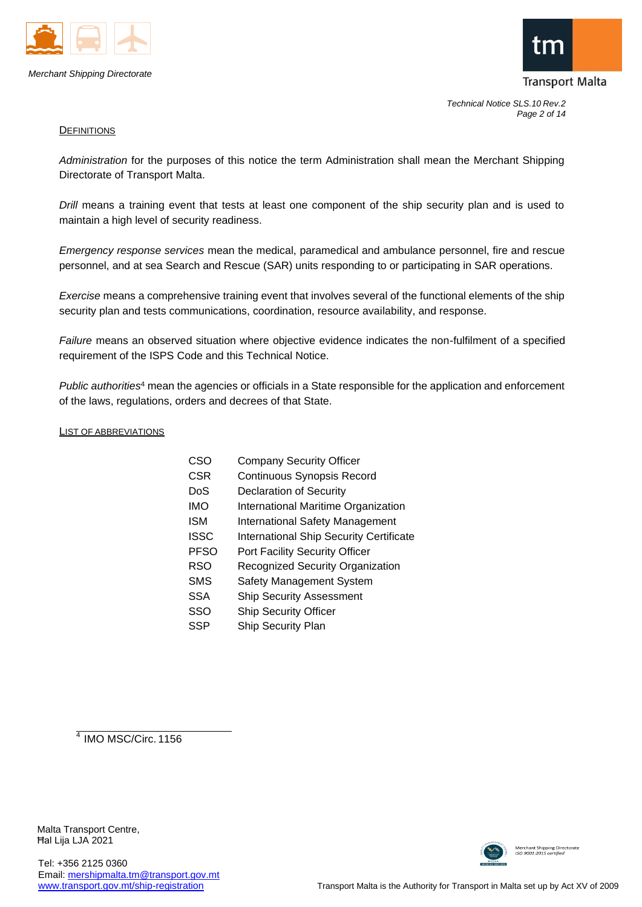



*Technical Notice SLS.10 Rev.2 Page 2 of 14*

#### **DEFINITIONS**

*Administration* for the purposes of this notice the term Administration shall mean the Merchant Shipping Directorate of Transport Malta.

*Drill* means a training event that tests at least one component of the ship security plan and is used to maintain a high level of security readiness.

*Emergency response services* mean the medical, paramedical and ambulance personnel, fire and rescue personnel, and at sea Search and Rescue (SAR) units responding to or participating in SAR operations.

*Exercise* means a comprehensive training event that involves several of the functional elements of the ship security plan and tests communications, coordination, resource availability, and response.

*Failure* means an observed situation where objective evidence indicates the non-fulfilment of a specified requirement of the ISPS Code and this Technical Notice.

*Public authorities*<sup>4</sup> mean the agencies or officials in a State responsible for the application and enforcement of the laws, regulations, orders and decrees of that State.

#### LIST OF ABBREVIATIONS

| CSO         | <b>Company Security Officer</b>                |
|-------------|------------------------------------------------|
| CSR         | <b>Continuous Synopsis Record</b>              |
| DoS         | <b>Declaration of Security</b>                 |
| IMO         | <b>International Maritime Organization</b>     |
| ISM         | <b>International Safety Management</b>         |
| ISSC        | <b>International Ship Security Certificate</b> |
| <b>PFSO</b> | <b>Port Facility Security Officer</b>          |
| RSO         | Recognized Security Organization               |
| SMS         | Safety Management System                       |
| SSA         | <b>Ship Security Assessment</b>                |
| SSO         | <b>Ship Security Officer</b>                   |
| SSP         | Ship Security Plan                             |
|             |                                                |

 $4$  IMO MSC/Circ. 1156

Malta Transport Centre, Ħal Lija LJA 2021

Tel: +356 2125 0360





Merchant Shipping Directorate<br>ISO 9001:2015 certified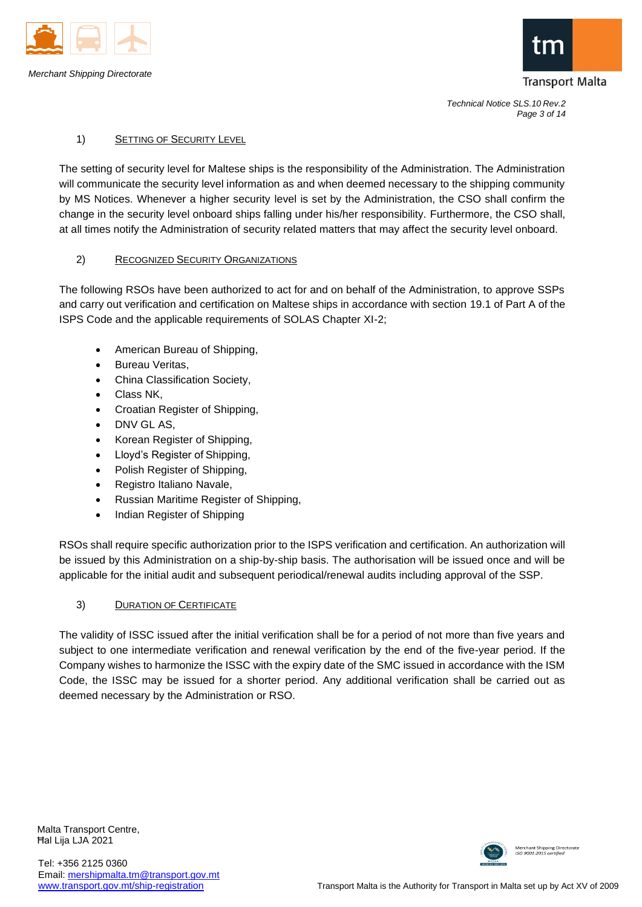



*Technical Notice SLS.10 Rev.2 Page 3 of 14*

# 1) SETTING OF SECURITY LEVEL

The setting of security level for Maltese ships is the responsibility of the Administration. The Administration will communicate the security level information as and when deemed necessary to the shipping community by MS Notices. Whenever a higher security level is set by the Administration, the CSO shall confirm the change in the security level onboard ships falling under his/her responsibility. Furthermore, the CSO shall, at all times notify the Administration of security related matters that may affect the security level onboard.

# 2) RECOGNIZED SECURITY ORGANIZATIONS

The following RSOs have been authorized to act for and on behalf of the Administration, to approve SSPs and carry out verification and certification on Maltese ships in accordance with section 19.1 of Part A of the ISPS Code and the applicable requirements of SOLAS Chapter XI-2;

- American Bureau of Shipping,
- Bureau Veritas,
- China Classification Society,
- Class NK,
- Croatian Register of Shipping,
- DNV GL AS,
- Korean Register of Shipping,
- Lloyd's Register of Shipping,
- Polish Register of Shipping,
- Registro Italiano Navale,
- Russian Maritime Register of Shipping,
- Indian Register of Shipping

RSOs shall require specific authorization prior to the ISPS verification and certification. An authorization will be issued by this Administration on a ship-by-ship basis. The authorisation will be issued once and will be applicable for the initial audit and subsequent periodical/renewal audits including approval of the SSP.

# 3) DURATION OF CERTIFICATE

The validity of ISSC issued after the initial verification shall be for a period of not more than five years and subject to one intermediate verification and renewal verification by the end of the five-year period. If the Company wishes to harmonize the ISSC with the expiry date of the SMC issued in accordance with the ISM Code, the ISSC may be issued for a shorter period. Any additional verification shall be carried out as deemed necessary by the Administration or RSO.

Malta Transport Centre, Ħal Lija LJA 2021

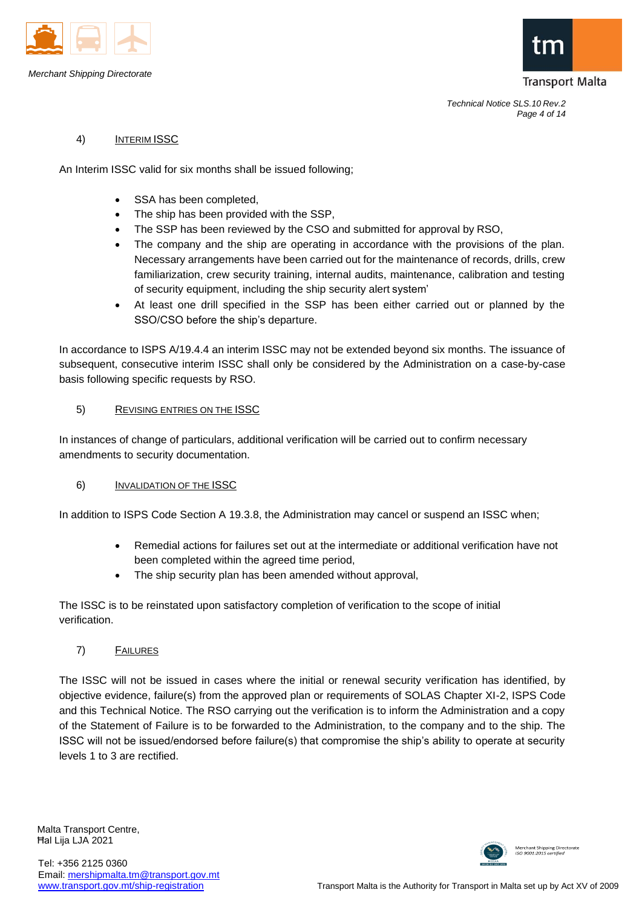



## 4) INTERIM ISSC

An Interim ISSC valid for six months shall be issued following;

- SSA has been completed.
- The ship has been provided with the SSP,
- The SSP has been reviewed by the CSO and submitted for approval by RSO,
- The company and the ship are operating in accordance with the provisions of the plan. Necessary arrangements have been carried out for the maintenance of records, drills, crew familiarization, crew security training, internal audits, maintenance, calibration and testing of security equipment, including the ship security alert system'
- At least one drill specified in the SSP has been either carried out or planned by the SSO/CSO before the ship's departure.

In accordance to ISPS A/19.4.4 an interim ISSC may not be extended beyond six months. The issuance of subsequent, consecutive interim ISSC shall only be considered by the Administration on a case-by-case basis following specific requests by RSO.

### 5) REVISING ENTRIES ON THE ISSC

In instances of change of particulars, additional verification will be carried out to confirm necessary amendments to security documentation.

#### 6) INVALIDATION OF THE ISSC

In addition to ISPS Code Section A 19.3.8, the Administration may cancel or suspend an ISSC when;

- Remedial actions for failures set out at the intermediate or additional verification have not been completed within the agreed time period,
- The ship security plan has been amended without approval,

The ISSC is to be reinstated upon satisfactory completion of verification to the scope of initial verification.

# 7) FAILURES

The ISSC will not be issued in cases where the initial or renewal security verification has identified, by objective evidence, failure(s) from the approved plan or requirements of SOLAS Chapter XI-2, ISPS Code and this Technical Notice. The RSO carrying out the verification is to inform the Administration and a copy of the Statement of Failure is to be forwarded to the Administration, to the company and to the ship. The ISSC will not be issued/endorsed before failure(s) that compromise the ship's ability to operate at security levels 1 to 3 are rectified.

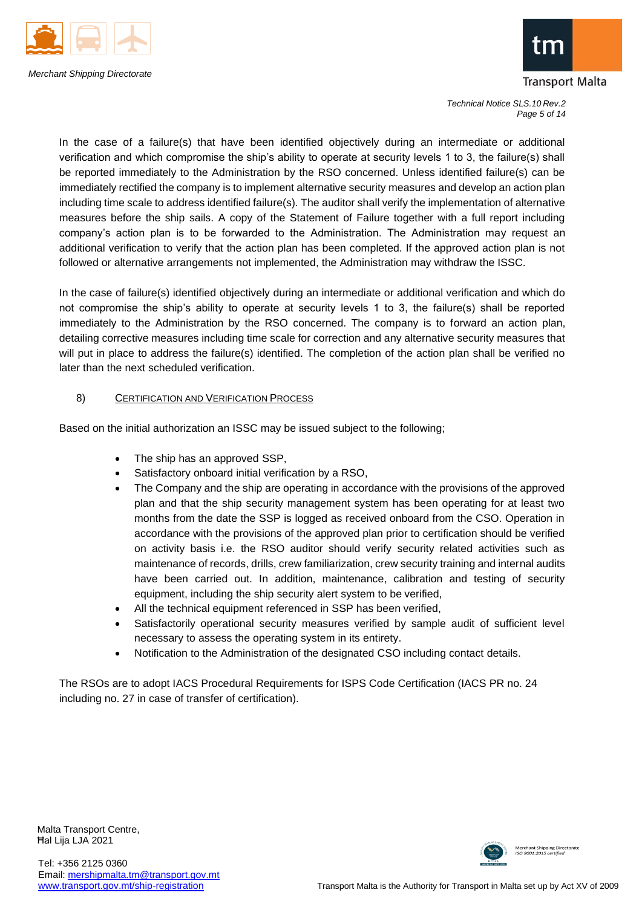



*Technical Notice SLS.10 Rev.2 Page 5 of 14*

In the case of a failure(s) that have been identified objectively during an intermediate or additional verification and which compromise the ship's ability to operate at security levels 1 to 3, the failure(s) shall be reported immediately to the Administration by the RSO concerned. Unless identified failure(s) can be immediately rectified the company is to implement alternative security measures and develop an action plan including time scale to address identified failure(s). The auditor shall verify the implementation of alternative measures before the ship sails. A copy of the Statement of Failure together with a full report including company's action plan is to be forwarded to the Administration. The Administration may request an additional verification to verify that the action plan has been completed. If the approved action plan is not followed or alternative arrangements not implemented, the Administration may withdraw the ISSC.

In the case of failure(s) identified objectively during an intermediate or additional verification and which do not compromise the ship's ability to operate at security levels 1 to 3, the failure(s) shall be reported immediately to the Administration by the RSO concerned. The company is to forward an action plan, detailing corrective measures including time scale for correction and any alternative security measures that will put in place to address the failure(s) identified. The completion of the action plan shall be verified no later than the next scheduled verification.

# 8) CERTIFICATION AND VERIFICATION PROCESS

Based on the initial authorization an ISSC may be issued subject to the following;

- The ship has an approved SSP,
- Satisfactory onboard initial verification by a RSO,
- The Company and the ship are operating in accordance with the provisions of the approved plan and that the ship security management system has been operating for at least two months from the date the SSP is logged as received onboard from the CSO. Operation in accordance with the provisions of the approved plan prior to certification should be verified on activity basis i.e. the RSO auditor should verify security related activities such as maintenance of records, drills, crew familiarization, crew security training and internal audits have been carried out. In addition, maintenance, calibration and testing of security equipment, including the ship security alert system to be verified,
- All the technical equipment referenced in SSP has been verified,
- Satisfactorily operational security measures verified by sample audit of sufficient level necessary to assess the operating system in its entirety.
- Notification to the Administration of the designated CSO including contact details.

The RSOs are to adopt IACS Procedural Requirements for ISPS Code Certification (IACS PR no. 24 including no. 27 in case of transfer of certification).

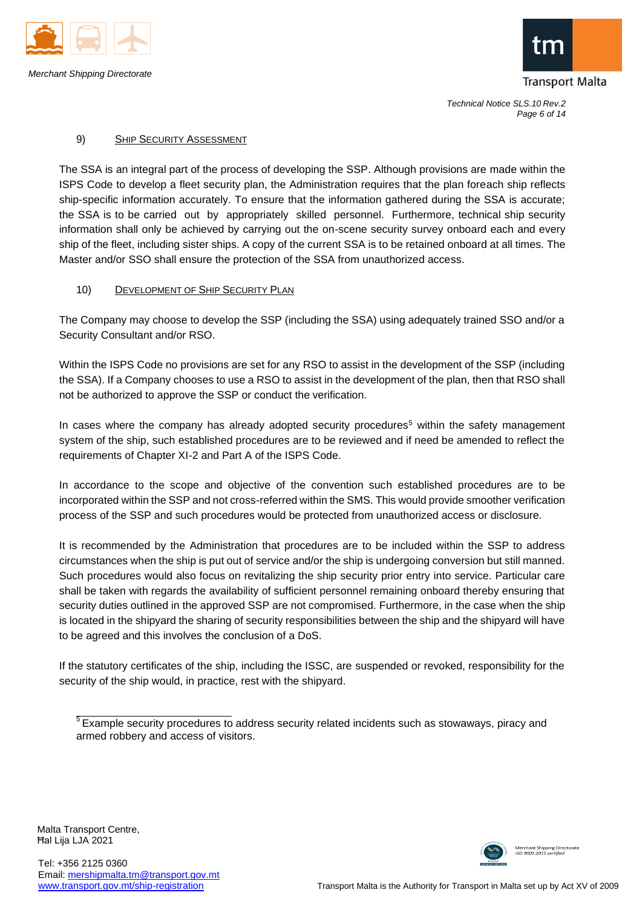



*Technical Notice SLS.10 Rev.2 Page 6 of 14*

### 9) SHIP SECURITY ASSESSMENT

The SSA is an integral part of the process of developing the SSP. Although provisions are made within the ISPS Code to develop a fleet security plan, the Administration requires that the plan foreach ship reflects ship-specific information accurately. To ensure that the information gathered during the SSA is accurate; the SSA is to be carried out by appropriately skilled personnel. Furthermore, technical ship security information shall only be achieved by carrying out the on-scene security survey onboard each and every ship of the fleet, including sister ships. A copy of the current SSA is to be retained onboard at all times. The Master and/or SSO shall ensure the protection of the SSA from unauthorized access.

### 10) DEVELOPMENT OF SHIP SECURITY PLAN

The Company may choose to develop the SSP (including the SSA) using adequately trained SSO and/or a Security Consultant and/or RSO.

Within the ISPS Code no provisions are set for any RSO to assist in the development of the SSP (including the SSA). If a Company chooses to use a RSO to assist in the development of the plan, then that RSO shall not be authorized to approve the SSP or conduct the verification.

In cases where the company has already adopted security procedures<sup>5</sup> within the safety management system of the ship, such established procedures are to be reviewed and if need be amended to reflect the requirements of Chapter XI-2 and Part A of the ISPS Code.

In accordance to the scope and objective of the convention such established procedures are to be incorporated within the SSP and not cross-referred within the SMS. This would provide smoother verification process of the SSP and such procedures would be protected from unauthorized access or disclosure.

It is recommended by the Administration that procedures are to be included within the SSP to address circumstances when the ship is put out of service and/or the ship is undergoing conversion but still manned. Such procedures would also focus on revitalizing the ship security prior entry into service. Particular care shall be taken with regards the availability of sufficient personnel remaining onboard thereby ensuring that security duties outlined in the approved SSP are not compromised. Furthermore, in the case when the ship is located in the shipyard the sharing of security responsibilities between the ship and the shipyard will have to be agreed and this involves the conclusion of a DoS.

If the statutory certificates of the ship, including the ISSC, are suspended or revoked, responsibility for the security of the ship would, in practice, rest with the shipyard.



 $<sup>5</sup>$  Example security procedures to address security related incidents such as stowaways, piracy and</sup> armed robbery and access of visitors.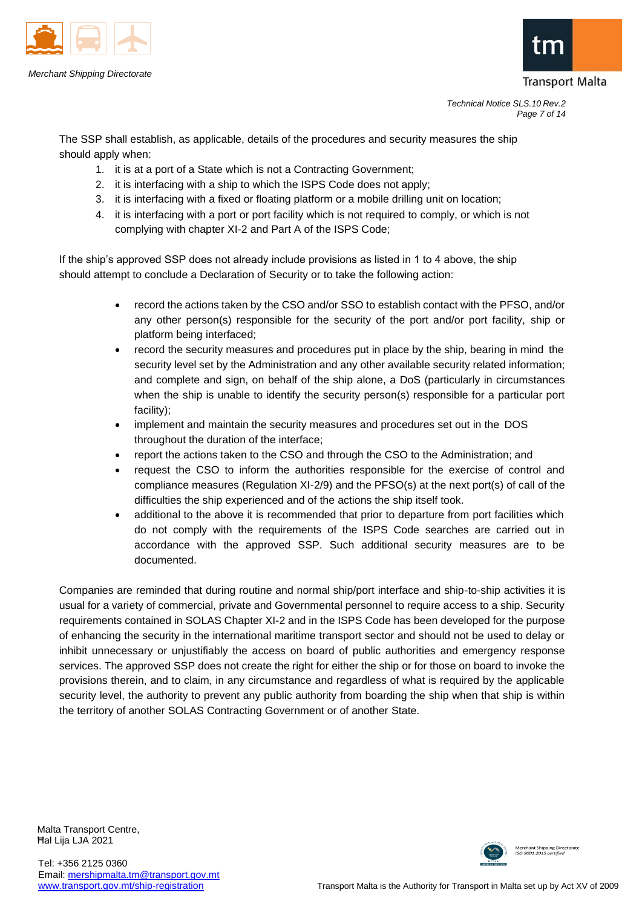



*Technical Notice SLS.10 Rev.2 Page 7 of 14*

The SSP shall establish, as applicable, details of the procedures and security measures the ship should apply when:

- 1. it is at a port of a State which is not a Contracting Government;
- 2. it is interfacing with a ship to which the ISPS Code does not apply;
- 3. it is interfacing with a fixed or floating platform or a mobile drilling unit on location;
- 4. it is interfacing with a port or port facility which is not required to comply, or which is not complying with chapter XI-2 and Part A of the ISPS Code;

If the ship's approved SSP does not already include provisions as listed in 1 to 4 above, the ship should attempt to conclude a Declaration of Security or to take the following action:

- record the actions taken by the CSO and/or SSO to establish contact with the PFSO, and/or any other person(s) responsible for the security of the port and/or port facility, ship or platform being interfaced;
- record the security measures and procedures put in place by the ship, bearing in mind the security level set by the Administration and any other available security related information; and complete and sign, on behalf of the ship alone, a DoS (particularly in circumstances when the ship is unable to identify the security person(s) responsible for a particular port facility);
- implement and maintain the security measures and procedures set out in the DOS throughout the duration of the interface;
- report the actions taken to the CSO and through the CSO to the Administration; and
- request the CSO to inform the authorities responsible for the exercise of control and compliance measures (Regulation XI-2/9) and the PFSO(s) at the next port(s) of call of the difficulties the ship experienced and of the actions the ship itself took.
- additional to the above it is recommended that prior to departure from port facilities which do not comply with the requirements of the ISPS Code searches are carried out in accordance with the approved SSP. Such additional security measures are to be documented.

Companies are reminded that during routine and normal ship/port interface and ship-to-ship activities it is usual for a variety of commercial, private and Governmental personnel to require access to a ship. Security requirements contained in SOLAS Chapter XI-2 and in the ISPS Code has been developed for the purpose of enhancing the security in the international maritime transport sector and should not be used to delay or inhibit unnecessary or unjustifiably the access on board of public authorities and emergency response services. The approved SSP does not create the right for either the ship or for those on board to invoke the provisions therein, and to claim, in any circumstance and regardless of what is required by the applicable security level, the authority to prevent any public authority from boarding the ship when that ship is within the territory of another SOLAS Contracting Government or of another State.

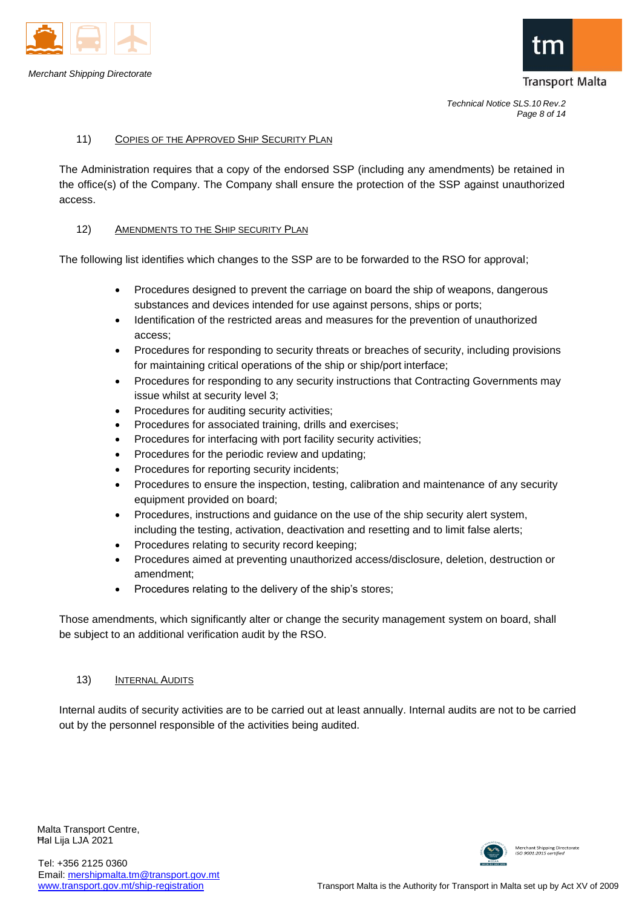



#### 11) COPIES OF THE APPROVED SHIP SECURITY PLAN

The Administration requires that a copy of the endorsed SSP (including any amendments) be retained in the office(s) of the Company. The Company shall ensure the protection of the SSP against unauthorized access.

#### 12) AMENDMENTS TO THE SHIP SECURITY PLAN

The following list identifies which changes to the SSP are to be forwarded to the RSO for approval;

- Procedures designed to prevent the carriage on board the ship of weapons, dangerous substances and devices intended for use against persons, ships or ports;
- Identification of the restricted areas and measures for the prevention of unauthorized access;
- Procedures for responding to security threats or breaches of security, including provisions for maintaining critical operations of the ship or ship/port interface;
- Procedures for responding to any security instructions that Contracting Governments may issue whilst at security level 3;
- Procedures for auditing security activities;
- Procedures for associated training, drills and exercises;
- Procedures for interfacing with port facility security activities;
- Procedures for the periodic review and updating;
- Procedures for reporting security incidents;
- Procedures to ensure the inspection, testing, calibration and maintenance of any security equipment provided on board;
- Procedures, instructions and guidance on the use of the ship security alert system, including the testing, activation, deactivation and resetting and to limit false alerts;
- Procedures relating to security record keeping;
- Procedures aimed at preventing unauthorized access/disclosure, deletion, destruction or amendment;
- Procedures relating to the delivery of the ship's stores;

Those amendments, which significantly alter or change the security management system on board, shall be subject to an additional verification audit by the RSO.

#### 13) INTERNAL AUDITS

Internal audits of security activities are to be carried out at least annually. Internal audits are not to be carried out by the personnel responsible of the activities being audited.

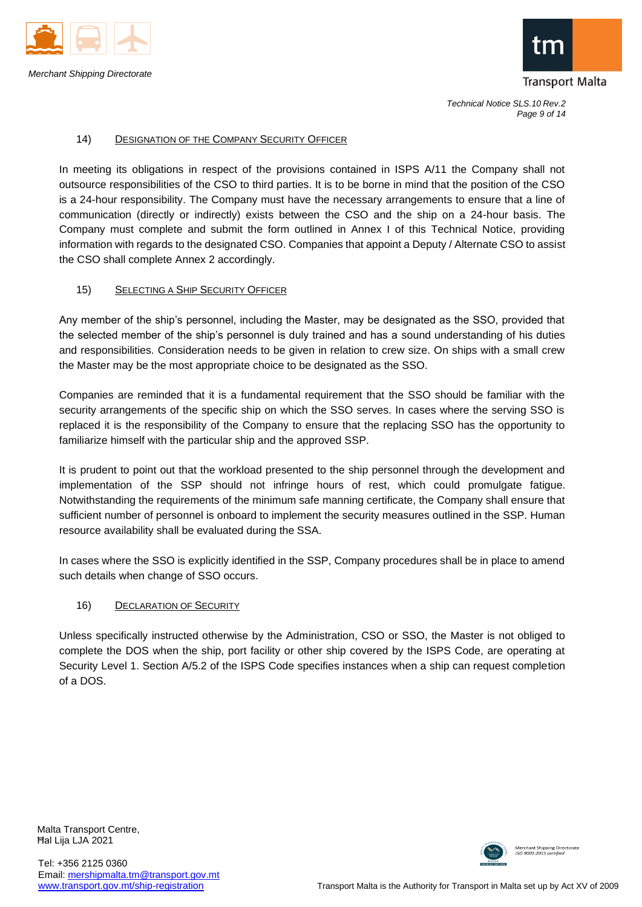



*Technical Notice SLS.10 Rev.2 Page 9 of 14*

#### 14) DESIGNATION OF THE COMPANY SECURITY OFFICER

In meeting its obligations in respect of the provisions contained in ISPS A/11 the Company shall not outsource responsibilities of the CSO to third parties. It is to be borne in mind that the position of the CSO is a 24-hour responsibility. The Company must have the necessary arrangements to ensure that a line of communication (directly or indirectly) exists between the CSO and the ship on a 24-hour basis. The Company must complete and submit the form outlined in Annex I of this Technical Notice, providing information with regards to the designated CSO. Companies that appoint a Deputy / Alternate CSO to assist the CSO shall complete Annex 2 accordingly.

### 15) SELECTING A SHIP SECURITY OFFICER

Any member of the ship's personnel, including the Master, may be designated as the SSO, provided that the selected member of the ship's personnel is duly trained and has a sound understanding of his duties and responsibilities. Consideration needs to be given in relation to crew size. On ships with a small crew the Master may be the most appropriate choice to be designated as the SSO.

Companies are reminded that it is a fundamental requirement that the SSO should be familiar with the security arrangements of the specific ship on which the SSO serves. In cases where the serving SSO is replaced it is the responsibility of the Company to ensure that the replacing SSO has the opportunity to familiarize himself with the particular ship and the approved SSP.

It is prudent to point out that the workload presented to the ship personnel through the development and implementation of the SSP should not infringe hours of rest, which could promulgate fatigue. Notwithstanding the requirements of the minimum safe manning certificate, the Company shall ensure that sufficient number of personnel is onboard to implement the security measures outlined in the SSP. Human resource availability shall be evaluated during the SSA.

In cases where the SSO is explicitly identified in the SSP, Company procedures shall be in place to amend such details when change of SSO occurs.

#### 16) DECLARATION OF SECURITY

Unless specifically instructed otherwise by the Administration, CSO or SSO, the Master is not obliged to complete the DOS when the ship, port facility or other ship covered by the ISPS Code, are operating at Security Level 1. Section A/5.2 of the ISPS Code specifies instances when a ship can request completion of a DOS.

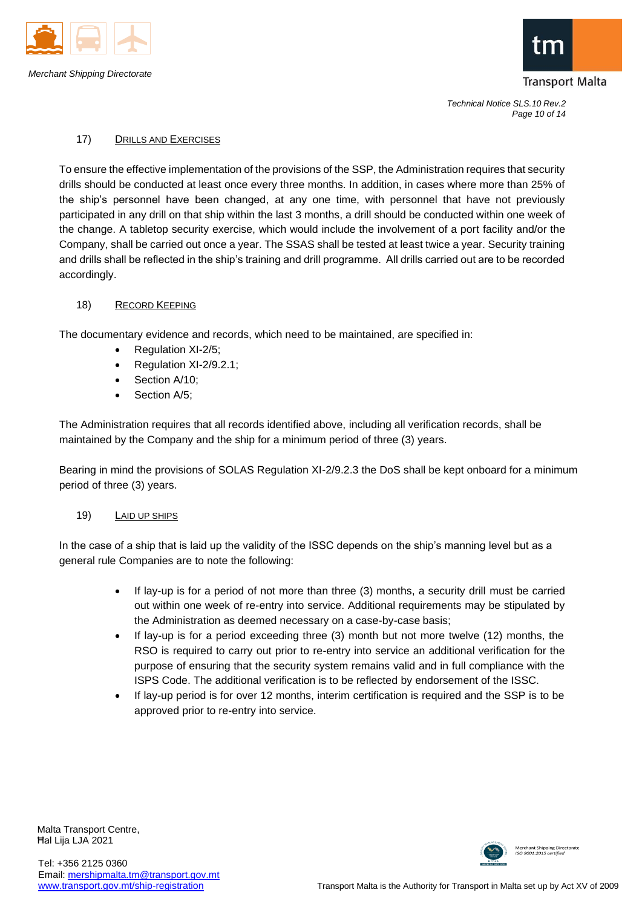



*Technical Notice SLS.10 Rev.2 Page 10 of 14*

## 17) DRILLS AND EXERCISES

To ensure the effective implementation of the provisions of the SSP, the Administration requires that security drills should be conducted at least once every three months. In addition, in cases where more than 25% of the ship's personnel have been changed, at any one time, with personnel that have not previously participated in any drill on that ship within the last 3 months, a drill should be conducted within one week of the change. A tabletop security exercise, which would include the involvement of a port facility and/or the Company, shall be carried out once a year. The SSAS shall be tested at least twice a year. Security training and drills shall be reflected in the ship's training and drill programme. All drills carried out are to be recorded accordingly.

### 18) RECORD KEEPING

The documentary evidence and records, which need to be maintained, are specified in:

- Regulation XI-2/5;
- Regulation XI-2/9.2.1;
- Section A/10;
- Section A/5;

The Administration requires that all records identified above, including all verification records, shall be maintained by the Company and the ship for a minimum period of three (3) years.

Bearing in mind the provisions of SOLAS Regulation XI-2/9.2.3 the DoS shall be kept onboard for a minimum period of three (3) years.

# 19) LAID UP SHIPS

In the case of a ship that is laid up the validity of the ISSC depends on the ship's manning level but as a general rule Companies are to note the following:

- If lay-up is for a period of not more than three (3) months, a security drill must be carried out within one week of re-entry into service. Additional requirements may be stipulated by the Administration as deemed necessary on a case-by-case basis;
- If lay-up is for a period exceeding three (3) month but not more twelve (12) months, the RSO is required to carry out prior to re-entry into service an additional verification for the purpose of ensuring that the security system remains valid and in full compliance with the ISPS Code. The additional verification is to be reflected by endorsement of the ISSC.
- If lay-up period is for over 12 months, interim certification is required and the SSP is to be approved prior to re-entry into service.

Malta Transport Centre, Ħal Lija LJA 2021

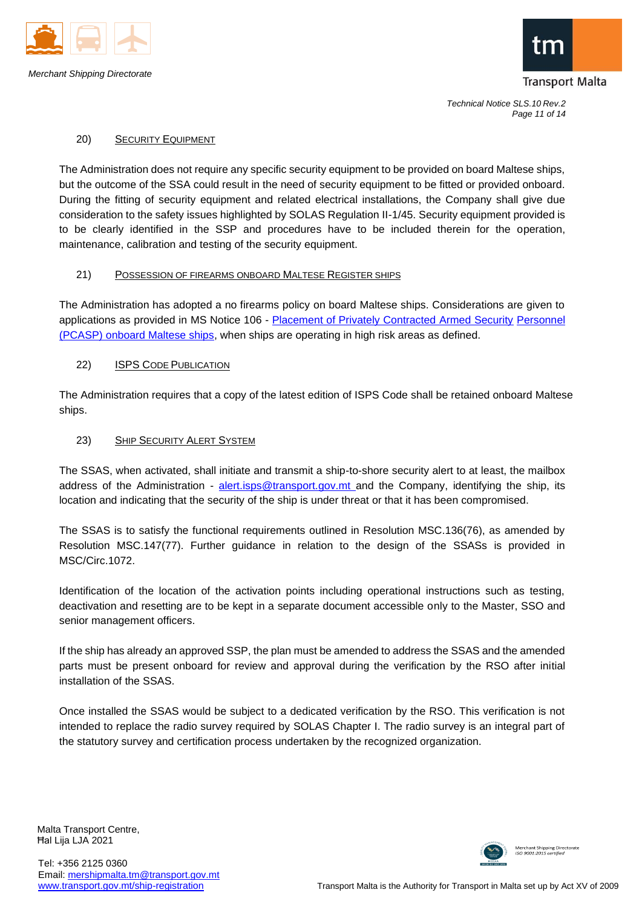



*Technical Notice SLS.10 Rev.2 Page 11 of 14*

### 20) SECURITY EQUIPMENT

The Administration does not require any specific security equipment to be provided on board Maltese ships, but the outcome of the SSA could result in the need of security equipment to be fitted or provided onboard. During the fitting of security equipment and related electrical installations, the Company shall give due consideration to the safety issues highlighted by SOLAS Regulation II-1/45. Security equipment provided is to be clearly identified in the SSP and procedures have to be included therein for the operation, maintenance, calibration and testing of the security equipment.

### 21) POSSESSION OF FIREARMS ONBOARD MALTESE REGISTER SHIPS

The Administration has adopted a no firearms policy on board Maltese ships. Considerations are given to applications as provided in MS Notice 106 - [Placement of Privately Contracted Armed Security](http://www.transport.gov.mt/admin/uploads/media-library/files/Notice%20106%20%20-%20Placement%20of%20PCASP%20on%20board%20Maltese%20ships.pdf_20130308143034.pdf) [Personnel](http://www.transport.gov.mt/admin/uploads/media-library/files/Notice%20106%20%20-%20Placement%20of%20PCASP%20on%20board%20Maltese%20ships.pdf_20130308143034.pdf)  [\(PCASP\) onboard Maltese ships, w](http://www.transport.gov.mt/admin/uploads/media-library/files/Notice%20106%20%20-%20Placement%20of%20PCASP%20on%20board%20Maltese%20ships.pdf_20130308143034.pdf)hen ships are operating in high risk areas as defined.

### 22) ISPS CODE PUBLICATION

The Administration requires that a copy of the latest edition of ISPS Code shall be retained onboard Maltese ships.

### 23) SHIP SECURITY ALERT SYSTEM

The SSAS, when activated, shall initiate and transmit a ship-to-shore security alert to at least, the mailbox address of the Administration - [alert.isps@transport.gov.mt a](mailto:alert.isps@transport.gov.mt)nd the Company, identifying the ship, its location and indicating that the security of the ship is under threat or that it has been compromised.

The SSAS is to satisfy the functional requirements outlined in Resolution MSC.136(76), as amended by Resolution MSC.147(77). Further guidance in relation to the design of the SSASs is provided in MSC/Circ.1072.

Identification of the location of the activation points including operational instructions such as testing, deactivation and resetting are to be kept in a separate document accessible only to the Master, SSO and senior management officers.

If the ship has already an approved SSP, the plan must be amended to address the SSAS and the amended parts must be present onboard for review and approval during the verification by the RSO after initial installation of the SSAS.

Once installed the SSAS would be subject to a dedicated verification by the RSO. This verification is not intended to replace the radio survey required by SOLAS Chapter I. The radio survey is an integral part of the statutory survey and certification process undertaken by the recognized organization.

Malta Transport Centre, Ħal Lija LJA 2021

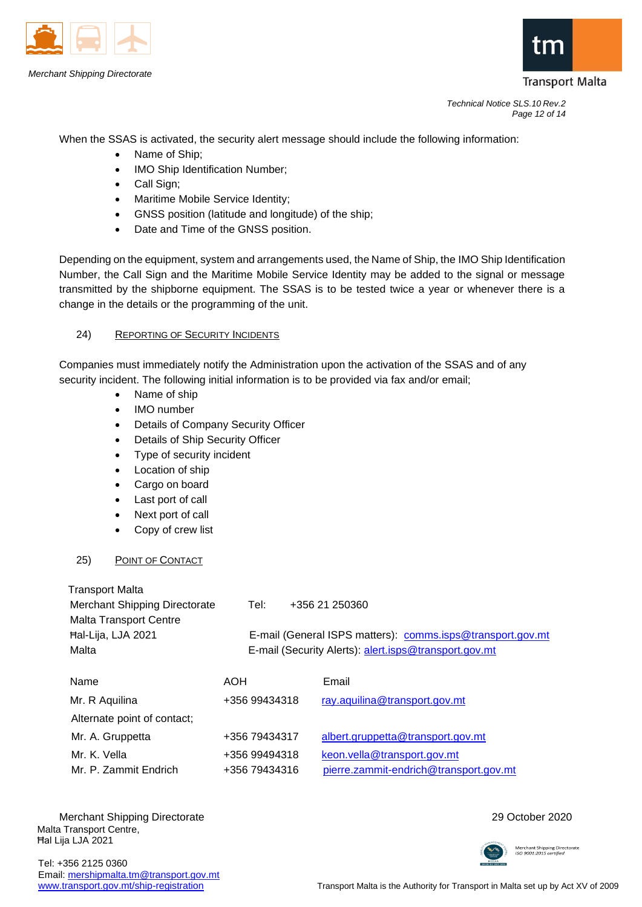



*Technical Notice SLS.10 Rev.2 Page 12 of 14*

When the SSAS is activated, the security alert message should include the following information:

- Name of Ship;
- IMO Ship Identification Number:
- Call Sign;
- Maritime Mobile Service Identity;
- GNSS position (latitude and longitude) of the ship;
- Date and Time of the GNSS position.

Depending on the equipment, system and arrangements used, the Name of Ship, the IMO Ship Identification Number, the Call Sign and the Maritime Mobile Service Identity may be added to the signal or message transmitted by the shipborne equipment. The SSAS is to be tested twice a year or whenever there is a change in the details or the programming of the unit.

# 24) REPORTING OF SECURITY INCIDENTS

Companies must immediately notify the Administration upon the activation of the SSAS and of any security incident. The following initial information is to be provided via fax and/or email;

- Name of ship
- IMO number
- Details of Company Security Officer
- Details of Ship Security Officer
- Type of security incident
- Location of ship
- Cargo on board
- Last port of call
- Next port of call
- Copy of crew list

# 25) POINT OF CONTACT

| <b>Transport Malta</b>        |                                                       |                                                            |
|-------------------------------|-------------------------------------------------------|------------------------------------------------------------|
| Merchant Shipping Directorate | Tel:                                                  | +356 21 250360                                             |
| <b>Malta Transport Centre</b> |                                                       |                                                            |
| Hal-Lija, LJA 2021            |                                                       | E-mail (General ISPS matters): comms.isps@transport.gov.mt |
| Malta                         | E-mail (Security Alerts): alert.isps@transport.gov.mt |                                                            |
|                               |                                                       |                                                            |
| Name                          | AOH                                                   | Email                                                      |
| Mr. R Aquilina                | +356 99434318                                         | ray.aquilina@transport.gov.mt                              |
| Alternate point of contact;   |                                                       |                                                            |
| Mr. A. Gruppetta              | +356 79434317                                         | albert.gruppetta@transport.gov.mt                          |
| Mr. K. Vella                  | +356 99494318                                         | keon.vella@transport.gov.mt                                |
| Mr. P. Zammit Endrich         | +356 79434316                                         | pierre.zammit-endrich@transport.gov.mt                     |

Malta Transport Centre, Ħal Lija LJA 2021 Merchant Shipping Directorate 2020



Tel: +356 2125 0360 Email: [mershipmalta.tm@transport.gov.mt](mailto:mershipmalta.tm@transport.gov.mt)

[www.transport.gov.mt/ship-registration](http://www.transport.gov.mt/ship-registration) Transport Malta is the Authority for Transport in Malta set up by Act XV of 2009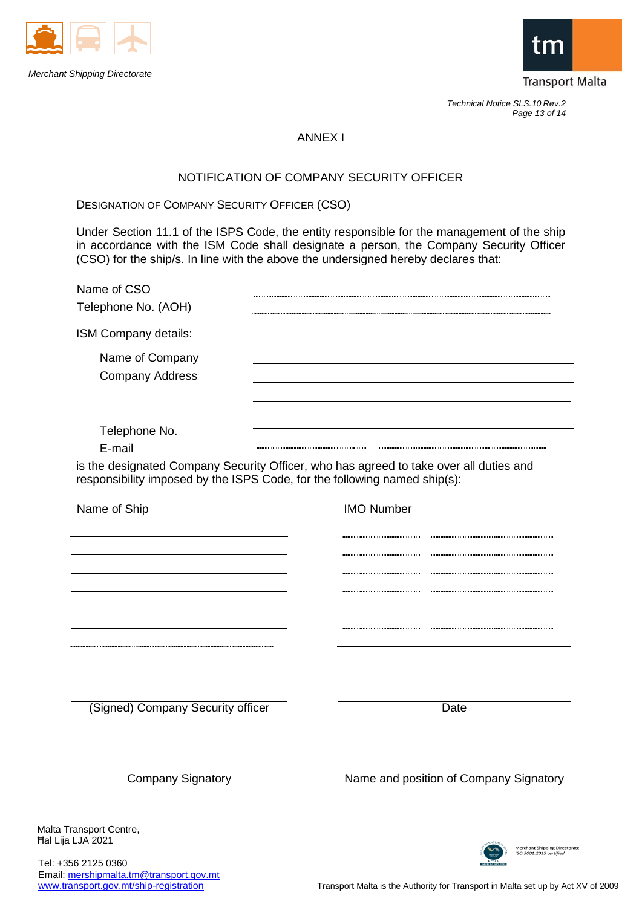



*Technical Notice SLS.10 Rev.2 Page 13 of 14*

# ANNEX I

# NOTIFICATION OF COMPANY SECURITY OFFICER

DESIGNATION OF COMPANY SECURITY OFFICER (CSO)

Under Section 11.1 of the ISPS Code, the entity responsible for the management of the ship in accordance with the ISM Code shall designate a person, the Company Security Officer (CSO) for the ship/s. In line with the above the undersigned hereby declares that:

| Name of CSO<br>Telephone No. (AOH)                                                                                                                                  |                                        |
|---------------------------------------------------------------------------------------------------------------------------------------------------------------------|----------------------------------------|
| ISM Company details:                                                                                                                                                |                                        |
| Name of Company<br><b>Company Address</b>                                                                                                                           |                                        |
| Telephone No.<br>E-mail                                                                                                                                             |                                        |
| is the designated Company Security Officer, who has agreed to take over all duties and<br>responsibility imposed by the ISPS Code, for the following named ship(s): |                                        |
| Name of Ship                                                                                                                                                        | <b>IMO Number</b>                      |
|                                                                                                                                                                     |                                        |
|                                                                                                                                                                     |                                        |
|                                                                                                                                                                     |                                        |
|                                                                                                                                                                     |                                        |
|                                                                                                                                                                     |                                        |
|                                                                                                                                                                     |                                        |
| (Signed) Company Security officer                                                                                                                                   | Date                                   |
| <b>Company Signatory</b>                                                                                                                                            | Name and position of Company Signatory |
|                                                                                                                                                                     |                                        |
| Malta Transport Centre,                                                                                                                                             |                                        |

Tel: +356 2125 0360 Email: [mershipmalta.tm@transport.gov.mt](mailto:mershipmalta.tm@transport.gov.mt)<br>www.transport.gov.mt/ship-registration

Transport Malta is the Authority for Transport in Malta set up by Act XV of 2009